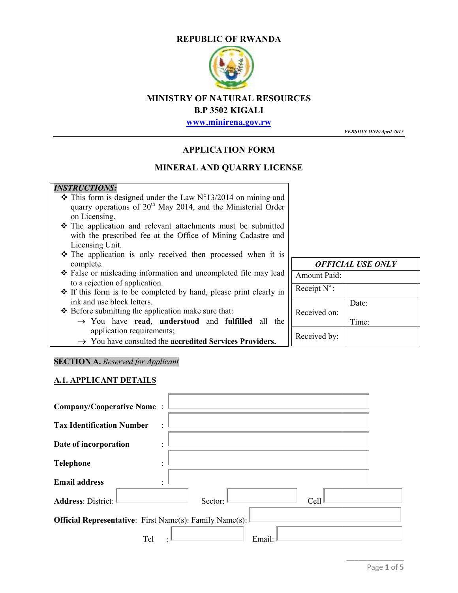#### **REPUBLIC OF RWANDA**



# **MINISTRY OF NATURAL RESOURCES**

### **B.P 3502 KIGALI**

#### **APPLICATION FORM**

#### **MINERAL AND QUARRY LICENSE**

# *INSTRUCTIONS:*

- $\cdot \cdot$  This form is designed under the Law N°13/2014 on mining and quarry operations of  $20<sup>th</sup>$  May 2014, and the Ministerial Order on Licensing.
- The application and relevant attachments must be submitted with the prescribed fee at the Office of Mining Cadastre and Licensing Unit. quarry operations of 20<sup>th</sup> May 2014, and the Ministerial Order<br>on Licensing.<br>The application and relevant attachments must be submitted<br>with the prescribed fee at the Office of Mining Cadastre and<br>Licensing Unit.<br>The appl
- \* The application is only received then processed when it is complete.
- False or misleading information and uncompleted file may lead lead to a rejection of application.
- If this form is to be completed by hand, please print clearly in ink and use block letters. to a rejection of application.<br>If this form is to be completed by hand, please<br>ink and use block letters.<br>Before submitting the application make sure that:
- $\triangle$  Before submitting the application make sure that:
	- $\rightarrow$  You have **read**, **understood** and **fulfilled** all the application requirements;
	- You have consulted the **accredited Services Providers.**

#### **SECTION A.** *Reserved for Applicant*

#### **A.1. APPLICANT DETAILS**

| <b>MINISTRY OF NATURAL RESOURCES</b>                                                                                                                                                                                                                                                                                                                                                                                                                                                                                      | <b>B.P 3502 KIGALI</b><br>www.minirena.gov.rw |                                                 | <b>VERSION ONE/April 2015</b> |
|---------------------------------------------------------------------------------------------------------------------------------------------------------------------------------------------------------------------------------------------------------------------------------------------------------------------------------------------------------------------------------------------------------------------------------------------------------------------------------------------------------------------------|-----------------------------------------------|-------------------------------------------------|-------------------------------|
|                                                                                                                                                                                                                                                                                                                                                                                                                                                                                                                           | <b>APPLICATION FORM</b>                       |                                                 |                               |
| <b>MINERAL AND QUARRY LICENSE</b>                                                                                                                                                                                                                                                                                                                                                                                                                                                                                         |                                               |                                                 |                               |
| <b>INSTRUCTIONS:</b><br>$\div$ This form is designed under the Law N°13/2014 on mining and<br>quarry operations of 20 <sup>th</sup> May 2014, and the Ministerial Order<br>on Licensing.<br>The application and relevant attachments must be submitted<br>with the prescribed fee at the Office of Mining Cadastre and<br>Licensing Unit.<br>The application is only received then processed when it is<br>complete.<br>* False or misleading information and uncompleted file may lead<br>to a rejection of application. |                                               | <b>Amount Paid:</b>                             | <b>OFFICIAL USE ONLY</b>      |
| ❖ If this form is to be completed by hand, please print clearly in<br>ink and use block letters.<br>❖ Before submitting the application make sure that:<br>$\rightarrow$ You have read, understood and fulfilled all the<br>application requirements;<br>$\rightarrow$ You have consulted the accredited Services Providers.                                                                                                                                                                                              |                                               | Receipt $N^0$ :<br>Received on:<br>Received by: | Date:<br>Time:                |
| <b>SECTION A.</b> Reserved for Applicant<br><b>A.1. APPLICANT DETAILS</b>                                                                                                                                                                                                                                                                                                                                                                                                                                                 |                                               |                                                 |                               |
| <b>Company/Cooperative Name</b><br><b>Tax Identification Number</b><br>Date of incorporation<br><b>Telephone</b>                                                                                                                                                                                                                                                                                                                                                                                                          |                                               |                                                 |                               |
| <b>Email address</b><br><b>Address: District:</b><br>Sector:                                                                                                                                                                                                                                                                                                                                                                                                                                                              |                                               | Cell                                            |                               |
| <b>Official Representative:</b> First Name(s): Family Name(s):<br>Tel                                                                                                                                                                                                                                                                                                                                                                                                                                                     | Email:                                        |                                                 |                               |
|                                                                                                                                                                                                                                                                                                                                                                                                                                                                                                                           |                                               |                                                 | Page 1 of 5                   |

| OFFICIAL USE ONLY     |                   |  |
|-----------------------|-------------------|--|
| Amount Paid:          |                   |  |
| Receipt $N^{\circ}$ : |                   |  |
| Received on:          | Date:             |  |
|                       | Time <sup>.</sup> |  |
| Received by:          |                   |  |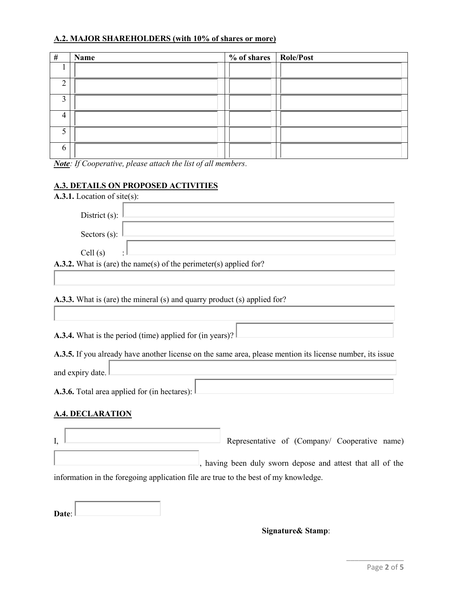## **A.2. MAJOR SHAREHOLDERS (with 10% of shares or more)**

| # | Name | % of shares   Role/Post |  |
|---|------|-------------------------|--|
|   |      |                         |  |
|   |      |                         |  |
|   |      |                         |  |
|   |      |                         |  |
|   |      |                         |  |
|   |      |                         |  |

*Note: If Cooperative, please attach the list of all members.*

#### **A.3. DETAILS ON PROPOSED ACTIVITIES**

| A.3.1. Location of site(s):                                                                               |                                                            |
|-----------------------------------------------------------------------------------------------------------|------------------------------------------------------------|
| District $(s)$ :                                                                                          |                                                            |
| Sectors $(s)$ :                                                                                           |                                                            |
| Cell(s)                                                                                                   |                                                            |
| A.3.2. What is (are) the name(s) of the perimeter(s) applied for?                                         |                                                            |
|                                                                                                           |                                                            |
| <b>A.3.3.</b> What is (are) the mineral (s) and quarry product (s) applied for?                           |                                                            |
|                                                                                                           |                                                            |
| A.3.4. What is the period (time) applied for (in years)?                                                  |                                                            |
| A.3.5. If you already have another license on the same area, please mention its license number, its issue |                                                            |
| and expiry date.                                                                                          |                                                            |
| A.3.6. Total area applied for (in hectares):                                                              |                                                            |
| <u>A.4. DECLARATION</u>                                                                                   |                                                            |
| I,                                                                                                        | Representative of (Company/ Cooperative name)              |
|                                                                                                           | , having been duly sworn depose and attest that all of the |
| information in the foregoing application file are true to the best of my knowledge.                       |                                                            |
|                                                                                                           |                                                            |

Ī

#### **Signature& Stamp**: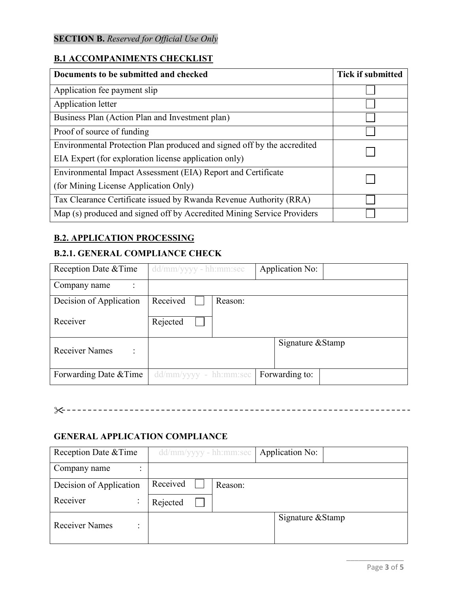# **SECTION B.** *Reserved for Official Use Only*

#### **B.1 ACCOMPANIMENTS CHECKLIST**

| Documents to be submitted and checked                                   | <b>Tick if submitted</b> |
|-------------------------------------------------------------------------|--------------------------|
| Application fee payment slip                                            |                          |
| Application letter                                                      |                          |
| Business Plan (Action Plan and Investment plan)                         |                          |
| Proof of source of funding                                              |                          |
| Environmental Protection Plan produced and signed off by the accredited |                          |
| EIA Expert (for exploration license application only)                   |                          |
| Environmental Impact Assessment (EIA) Report and Certificate            |                          |
| (for Mining License Application Only)                                   |                          |
| Tax Clearance Certificate issued by Rwanda Revenue Authority (RRA)      |                          |
| Map (s) produced and signed off by Accredited Mining Service Providers  |                          |

#### **B.2. APPLICATION PROCESSING**

# **B.2.1. GENERAL COMPLIANCE CHECK**

| Reception Date & Time   | $dd/mm/yyyy - hh:mm:sec$ | Application No:   |
|-------------------------|--------------------------|-------------------|
| Company name            |                          |                   |
| Decision of Application | Received<br>Reason:      |                   |
| Receiver                | Rejected                 |                   |
| <b>Receiver Names</b>   |                          | Signature & Stamp |
| Forwarding Date & Time  | $dd/mm/yyyy - hh/mm:sec$ | Forwarding to:    |

|--|--|

### **GENERAL APPLICATION COMPLIANCE**

| Reception Date & Time                   | $dd/mm/yyyy - hh:mm:sec$ | Application No:   |
|-----------------------------------------|--------------------------|-------------------|
| Company name<br>$\blacksquare$          |                          |                   |
| Decision of Application                 | Received<br>Reason:      |                   |
| Receiver<br>$\bullet$<br>$\blacksquare$ | Rejected                 |                   |
| <b>Receiver Names</b>                   |                          | Signature & Stamp |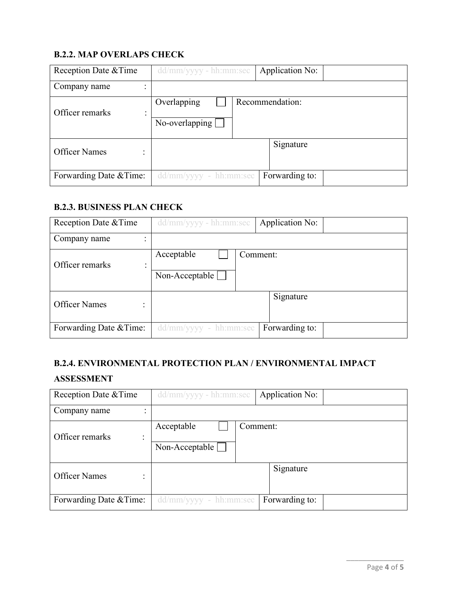## **B.2.2. MAP OVERLAPS CHECK**

| Reception Date & Time     | dd/mm/yyyy - hh:mm:sec        | Application No: |
|---------------------------|-------------------------------|-----------------|
| Company name<br>$\bullet$ |                               |                 |
| Officer remarks<br>٠<br>۰ | Overlapping<br>No-overlapping | Recommendation: |
| <b>Officer Names</b>      |                               | Signature       |
| Forwarding Date & Time:   | $dd/mm/yyyy - hh:mm:sec$      | Forwarding to:  |

### **B.2.3. BUSINESS PLAN CHECK**

| Reception Date & Time     | dd/mm/yyyy - hh:mm:sec       | Application No: |
|---------------------------|------------------------------|-----------------|
| Company name<br>٠         |                              |                 |
| Officer remarks<br>٠<br>۰ | Acceptable<br>Non-Acceptable | Comment:        |
| <b>Officer Names</b>      |                              | Signature       |
| Forwarding Date & Time:   | dd/mm/yyyy - hh:mm:sec       | Forwarding to:  |

#### **B.2.4. ENVIRONMENTAL PROTECTION PLAN / ENVIRONMENTAL IMPACT**

#### **ASSESSMENT**

| Reception Date & Time        | dd/mm/yyyy - hh:mm:sec                          | Application No: |
|------------------------------|-------------------------------------------------|-----------------|
| Company name<br>٠            |                                                 |                 |
| Officer remarks<br>$\bullet$ | Acceptable<br>Non-Acceptable                    | Comment:        |
| <b>Officer Names</b>         |                                                 | Signature       |
| Forwarding Date & Time:      | $\text{dd}/\text{mm}/\text{yy}$ yyy - hh:mm:sec | Forwarding to:  |